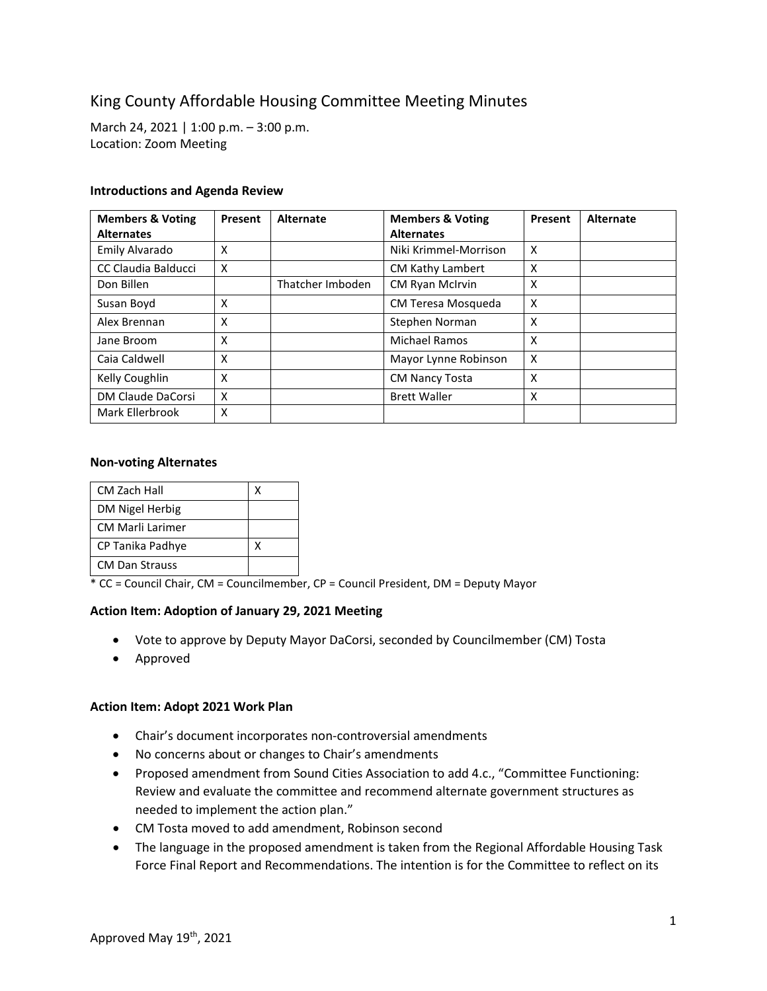# King County Affordable Housing Committee Meeting Minutes

March 24, 2021 | 1:00 p.m. – 3:00 p.m. Location: Zoom Meeting

## **Introductions and Agenda Review**

| <b>Members &amp; Voting</b> | Present | <b>Alternate</b> | <b>Members &amp; Voting</b> | Present | Alternate |
|-----------------------------|---------|------------------|-----------------------------|---------|-----------|
| <b>Alternates</b>           |         |                  | <b>Alternates</b>           |         |           |
| Emily Alvarado              | X       |                  | Niki Krimmel-Morrison       | X       |           |
| CC Claudia Balducci         | X       |                  | <b>CM Kathy Lambert</b>     | X       |           |
| Don Billen                  |         | Thatcher Imboden | <b>CM Ryan McIrvin</b>      | X       |           |
| Susan Boyd                  | X       |                  | CM Teresa Mosqueda          | X       |           |
| Alex Brennan                | X       |                  | Stephen Norman              | X       |           |
| Jane Broom                  | X       |                  | <b>Michael Ramos</b>        | X       |           |
| Caia Caldwell               | X       |                  | Mayor Lynne Robinson        | X       |           |
| Kelly Coughlin              | X       |                  | <b>CM Nancy Tosta</b>       | x       |           |
| DM Claude DaCorsi           | X       |                  | <b>Brett Waller</b>         | X       |           |
| Mark Ellerbrook             | х       |                  |                             |         |           |

#### **Non-voting Alternates**

| CM Zach Hall            |   |
|-------------------------|---|
| DM Nigel Herbig         |   |
| <b>CM Marli Larimer</b> |   |
| CP Tanika Padhye        | x |
| <b>CM Dan Strauss</b>   |   |

\* CC = Council Chair, CM = Councilmember, CP = Council President, DM = Deputy Mayor

#### **Action Item: Adoption of January 29, 2021 Meeting**

- Vote to approve by Deputy Mayor DaCorsi, seconded by Councilmember (CM) Tosta
- Approved

#### **Action Item: Adopt 2021 Work Plan**

- Chair's document incorporates non-controversial amendments
- No concerns about or changes to Chair's amendments
- Proposed amendment from Sound Cities Association to add 4.c., "Committee Functioning: Review and evaluate the committee and recommend alternate government structures as needed to implement the action plan."
- CM Tosta moved to add amendment, Robinson second
- The language in the proposed amendment is taken from the Regional Affordable Housing Task Force Final Report and Recommendations. The intention is for the Committee to reflect on its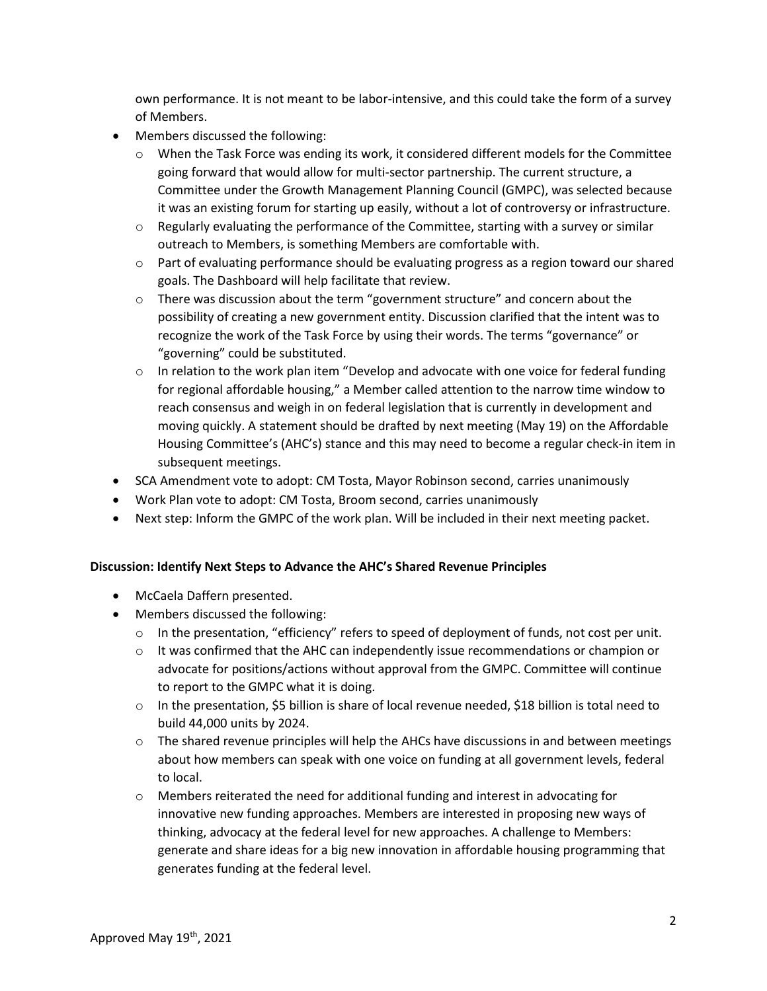own performance. It is not meant to be labor-intensive, and this could take the form of a survey of Members.

- Members discussed the following:
	- $\circ$  When the Task Force was ending its work, it considered different models for the Committee going forward that would allow for multi-sector partnership. The current structure, a Committee under the Growth Management Planning Council (GMPC), was selected because it was an existing forum for starting up easily, without a lot of controversy or infrastructure.
	- $\circ$  Regularly evaluating the performance of the Committee, starting with a survey or similar outreach to Members, is something Members are comfortable with.
	- $\circ$  Part of evaluating performance should be evaluating progress as a region toward our shared goals. The Dashboard will help facilitate that review.
	- $\circ$  There was discussion about the term "government structure" and concern about the possibility of creating a new government entity. Discussion clarified that the intent was to recognize the work of the Task Force by using their words. The terms "governance" or "governing" could be substituted.
	- $\circ$  In relation to the work plan item "Develop and advocate with one voice for federal funding for regional affordable housing," a Member called attention to the narrow time window to reach consensus and weigh in on federal legislation that is currently in development and moving quickly. A statement should be drafted by next meeting (May 19) on the Affordable Housing Committee's (AHC's) stance and this may need to become a regular check-in item in subsequent meetings.
- SCA Amendment vote to adopt: CM Tosta, Mayor Robinson second, carries unanimously
- Work Plan vote to adopt: CM Tosta, Broom second, carries unanimously
- Next step: Inform the GMPC of the work plan. Will be included in their next meeting packet.

# **Discussion: Identify Next Steps to Advance the AHC's Shared Revenue Principles**

- McCaela Daffern presented.
- Members discussed the following:
	- o In the presentation, "efficiency" refers to speed of deployment of funds, not cost per unit.
	- $\circ$  It was confirmed that the AHC can independently issue recommendations or champion or advocate for positions/actions without approval from the GMPC. Committee will continue to report to the GMPC what it is doing.
	- $\circ$  In the presentation, \$5 billion is share of local revenue needed, \$18 billion is total need to build 44,000 units by 2024.
	- $\circ$  The shared revenue principles will help the AHCs have discussions in and between meetings about how members can speak with one voice on funding at all government levels, federal to local.
	- $\circ$  Members reiterated the need for additional funding and interest in advocating for innovative new funding approaches. Members are interested in proposing new ways of thinking, advocacy at the federal level for new approaches. A challenge to Members: generate and share ideas for a big new innovation in affordable housing programming that generates funding at the federal level.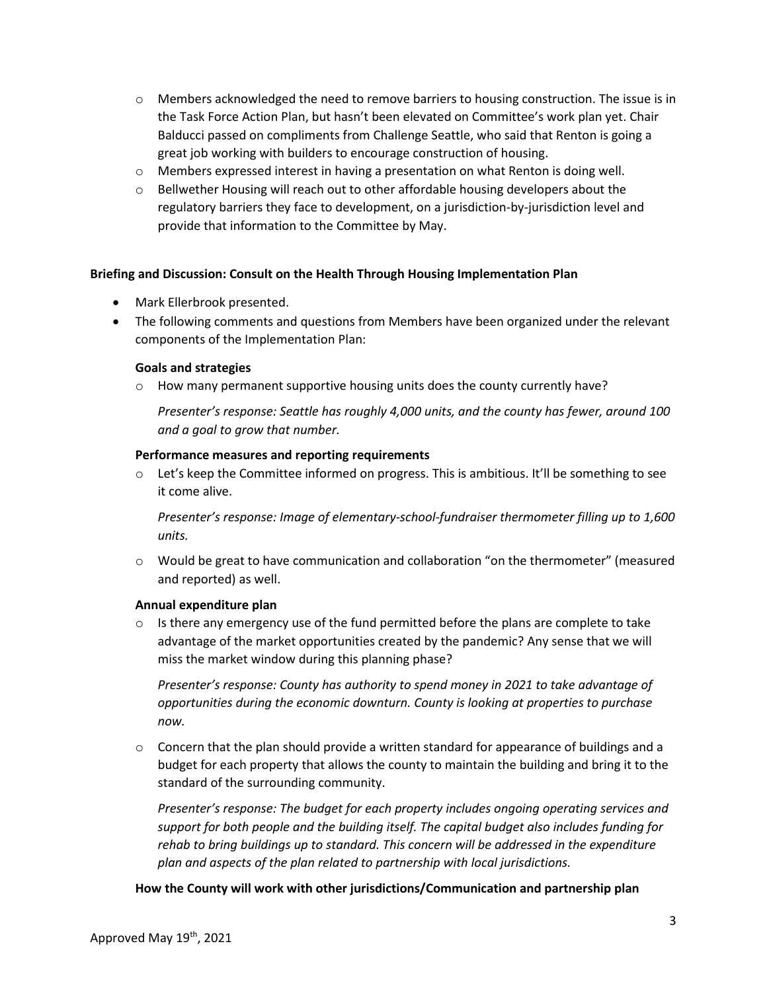- $\circ$  Members acknowledged the need to remove barriers to housing construction. The issue is in the Task Force Action Plan, but hasn't been elevated on Committee's work plan yet. Chair Balducci passed on compliments from Challenge Seattle, who said that Renton is going a great job working with builders to encourage construction of housing.
- o Members expressed interest in having a presentation on what Renton is doing well.
- $\circ$  Bellwether Housing will reach out to other affordable housing developers about the regulatory barriers they face to development, on a jurisdiction-by-jurisdiction level and provide that information to the Committee by May.

# **Briefing and Discussion: Consult on the Health Through Housing Implementation Plan**

- Mark Ellerbrook presented.
- The following comments and questions from Members have been organized under the relevant components of the Implementation Plan:

## **Goals and strategies**

 $\circ$  How many permanent supportive housing units does the county currently have?

*Presenter's response: Seattle has roughly 4,000 units, and the county has fewer, around 100 and a goal to grow that number.*

## **Performance measures and reporting requirements**

 $\circ$  Let's keep the Committee informed on progress. This is ambitious. It'll be something to see it come alive.

*Presenter's response: Image of elementary-school-fundraiser thermometer filling up to 1,600 units.*

o Would be great to have communication and collaboration "on the thermometer" (measured and reported) as well.

# **Annual expenditure plan**

 $\circ$  Is there any emergency use of the fund permitted before the plans are complete to take advantage of the market opportunities created by the pandemic? Any sense that we will miss the market window during this planning phase?

*Presenter's response: County has authority to spend money in 2021 to take advantage of opportunities during the economic downturn. County is looking at properties to purchase now.* 

 $\circ$  Concern that the plan should provide a written standard for appearance of buildings and a budget for each property that allows the county to maintain the building and bring it to the standard of the surrounding community.

*Presenter's response: The budget for each property includes ongoing operating services and support for both people and the building itself. The capital budget also includes funding for rehab to bring buildings up to standard. This concern will be addressed in the expenditure plan and aspects of the plan related to partnership with local jurisdictions.* 

**How the County will work with other jurisdictions/Communication and partnership plan**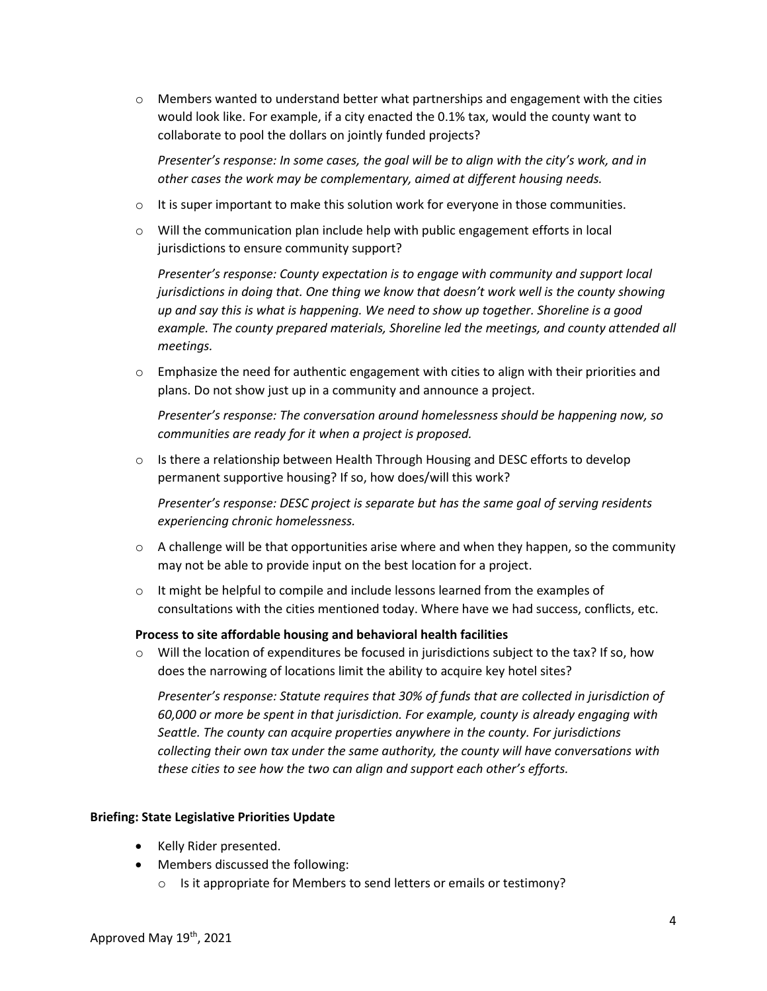$\circ$  Members wanted to understand better what partnerships and engagement with the cities would look like. For example, if a city enacted the 0.1% tax, would the county want to collaborate to pool the dollars on jointly funded projects?

*Presenter's response: In some cases, the goal will be to align with the city's work, and in other cases the work may be complementary, aimed at different housing needs.*

- $\circ$  It is super important to make this solution work for everyone in those communities.
- $\circ$  Will the communication plan include help with public engagement efforts in local jurisdictions to ensure community support?

*Presenter's response: County expectation is to engage with community and support local jurisdictions in doing that. One thing we know that doesn't work well is the county showing up and say this is what is happening. We need to show up together. Shoreline is a good example. The county prepared materials, Shoreline led the meetings, and county attended all meetings.*

 $\circ$  Emphasize the need for authentic engagement with cities to align with their priorities and plans. Do not show just up in a community and announce a project.

*Presenter's response: The conversation around homelessness should be happening now, so communities are ready for it when a project is proposed.*

 $\circ$  Is there a relationship between Health Through Housing and DESC efforts to develop permanent supportive housing? If so, how does/will this work?

*Presenter's response: DESC project is separate but has the same goal of serving residents experiencing chronic homelessness.*

- $\circ$  A challenge will be that opportunities arise where and when they happen, so the community may not be able to provide input on the best location for a project.
- $\circ$  It might be helpful to compile and include lessons learned from the examples of consultations with the cities mentioned today. Where have we had success, conflicts, etc.

# **Process to site affordable housing and behavioral health facilities**

 $\circ$  Will the location of expenditures be focused in jurisdictions subject to the tax? If so, how does the narrowing of locations limit the ability to acquire key hotel sites?

*Presenter's response: Statute requires that 30% of funds that are collected in jurisdiction of 60,000 or more be spent in that jurisdiction. For example, county is already engaging with Seattle. The county can acquire properties anywhere in the county. For jurisdictions collecting their own tax under the same authority, the county will have conversations with these cities to see how the two can align and support each other's efforts.*

# **Briefing: State Legislative Priorities Update**

- Kelly Rider presented.
- Members discussed the following:
	- o Is it appropriate for Members to send letters or emails or testimony?